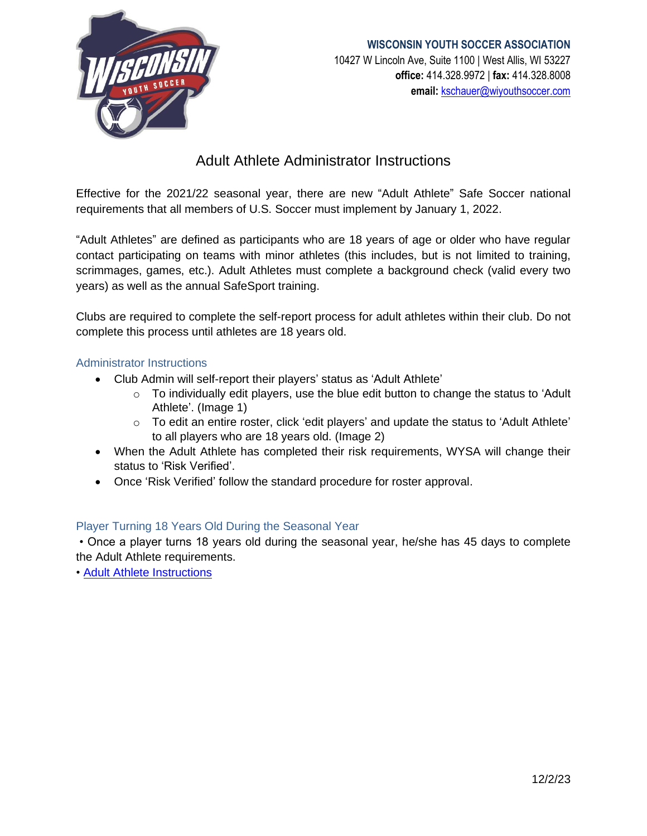

## **WISCONSIN YOUTH SOCCER ASSOCIATION** 10427 W Lincoln Ave, Suite 1100 | West Allis, WI 53227 **office:** 414.328.9972 | **fax:** 414.328.8008 **email:** [kschauer@wiyouthsoccer.com](mailto:kschauer@wiyouthsoccer.com)

# Adult Athlete Administrator Instructions

Effective for the 2021/22 seasonal year, there are new "Adult Athlete" Safe Soccer national requirements that all members of U.S. Soccer must implement by January 1, 2022.

"Adult Athletes" are defined as participants who are 18 years of age or older who have regular contact participating on teams with minor athletes (this includes, but is not limited to training, scrimmages, games, etc.). Adult Athletes must complete a background check (valid every two years) as well as the annual SafeSport training.

Clubs are required to complete the self-report process for adult athletes within their club. Do not complete this process until athletes are 18 years old.

#### Administrator Instructions

- Club Admin will self-report their players' status as 'Adult Athlete'
	- $\circ$  To individually edit players, use the blue edit button to change the status to 'Adult Athlete'. (Image 1)
	- o To edit an entire roster, click 'edit players' and update the status to 'Adult Athlete' to all players who are 18 years old. (Image 2)
- When the Adult Athlete has completed their risk requirements, WYSA will change their status to 'Risk Verified'.
- Once 'Risk Verified' follow the standard procedure for roster approval.

#### Player Turning 18 Years Old During the Seasonal Year

• Once a player turns 18 years old during the seasonal year, he/she has 45 days to complete the Adult Athlete requirements.

• Adult [Athlete Instructions](file:///C:/Users/kschauer/Downloads/Adult%20Athlete%20Instruction%20Sheet.pdf)